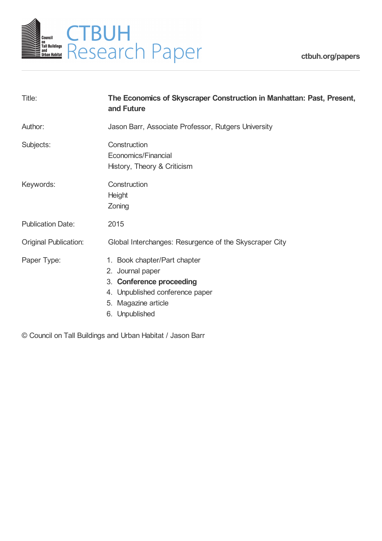

| Title:                       | The Economics of Skyscraper Construction in Manhattan: Past, Present,<br>and Future                                                                      |  |
|------------------------------|----------------------------------------------------------------------------------------------------------------------------------------------------------|--|
| Author:                      | Jason Barr, Associate Professor, Rutgers University                                                                                                      |  |
| Subjects:                    | Construction<br>Economics/Financial<br>History, Theory & Criticism                                                                                       |  |
| Keywords:                    | Construction<br><b>Height</b><br>Zoning                                                                                                                  |  |
| <b>Publication Date:</b>     | 2015                                                                                                                                                     |  |
| <b>Original Publication:</b> | Global Interchanges: Resurgence of the Skyscraper City                                                                                                   |  |
| Paper Type:                  | 1. Book chapter/Part chapter<br>2. Journal paper<br>3. Conference proceeding<br>4. Unpublished conference paper<br>5. Magazine article<br>6. Unpublished |  |

© Council on Tall Buildings and Urban Habitat / Jason Barr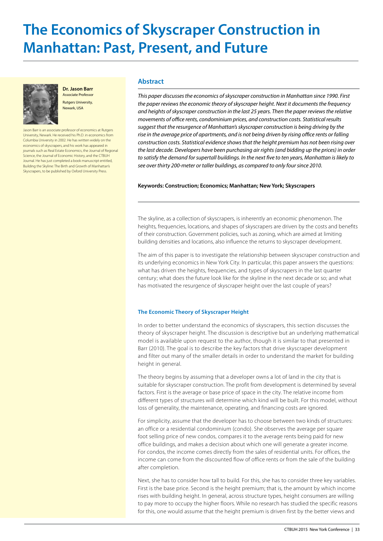# **The Economics of Skyscraper Construction in Manhattan: Past, Present, and Future**



**Dr. Jason Barr** Associate Professor

Rutgers University, Newark, USA

Jason Barr is an associate professor of economics at Rutgers University, Newark. He received his Ph.D. in economics from Columbia University in 2002. He has written widely on the economics of skyscrapers, and his work has appeared in journals such as Real Estate Economics, the Journal of Regional Science, the Journal of Economic History, and the CTBUH Journal. He has just completed a book manuscript entitled, Building the Skyline: The Birth and Growth of Manhattan's Skyscrapers, to be published by Oxford University Press.

# **Abstract**

*This paper discusses the economics of skyscraper construction in Manhattan since 1990. First the paper reviews the economic theory of skyscraper height. Next it documents the frequency and heights of skyscraper construction in the last 25 years. Then the paper reviews the relative movements of office rents, condominium prices, and construction costs. Statistical results suggest that the resurgence of Manhattan's skyscraper construction is being driving by the rise in the average price of apartments, and is not being driven by rising office rents or falling construction costs. Statistical evidence shows that the height premium has not been rising over the last decade. Developers have been purchasing air rights (and bidding up the prices) in order to satisfy the demand for supertall buildings. In the next five to ten years, Manhattan is likely to see over thirty 200-meter or taller buildings, as compared to only four since 2010.*

## **Keywords: Construction; Economics; Manhattan; New York; Skyscrapers**

The skyline, as a collection of skyscrapers, is inherently an economic phenomenon. The heights, frequencies, locations, and shapes of skyscrapers are driven by the costs and benefits of their construction. Government policies, such as zoning, which are aimed at limiting building densities and locations, also influence the returns to skyscraper development.

The aim of this paper is to investigate the relationship between skyscraper construction and its underlying economics in New York City. In particular, this paper answers the questions: what has driven the heights, frequencies, and types of skyscrapers in the last quarter century; what does the future look like for the skyline in the next decade or so; and what has motivated the resurgence of skyscraper height over the last couple of years?

# **The Economic Theory of Skyscraper Height**

In order to better understand the economics of skyscrapers, this section discusses the theory of skyscraper height. The discussion is descriptive but an underlying mathematical model is available upon request to the author, though it is similar to that presented in Barr (2010). The goal is to describe the key factors that drive skyscraper development and filter out many of the smaller details in order to understand the market for building height in general.

The theory begins by assuming that a developer owns a lot of land in the city that is suitable for skyscraper construction. The profit from development is determined by several factors. First is the average or base price of space in the city. The relative income from different types of structures will determine which kind will be built. For this model, without loss of generality, the maintenance, operating, and financing costs are ignored.

For simplicity, assume that the developer has to choose between two kinds of structures: an office or a residential condominium (condo). She observes the average per square foot selling price of new condos, compares it to the average rents being paid for new office buildings, and makes a decision about which one will generate a greater income. For condos, the income comes directly from the sales of residential units. For offices, the income can come from the discounted flow of office rents or from the sale of the building after completion.

Next, she has to consider how tall to build. For this, she has to consider three key variables. First is the base price. Second is the height premium; that is, the amount by which income rises with building height. In general, across structure types, height consumers are willing to pay more to occupy the higher floors. While no research has studied the specific reasons for this, one would assume that the height premium is driven first by the better views and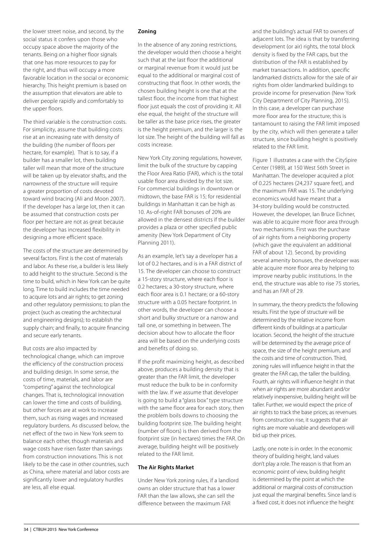the lower street noise, and second, by the social status it confers upon those who occupy space above the majority of the tenants. Being on a higher floor signals that one has more resources to pay for the right, and thus will occupy a more favorable location in the social or economic hierarchy. This height premium is based on the assumption that elevators are able to deliver people rapidly and comfortably to the upper floors.

The third variable is the construction costs. For simplicity, assume that building costs rise at an increasing rate with density of the building (the number of floors per hectare, for example). That is to say, if a builder has a smaller lot, then building taller will mean that more of the structure will be taken up by elevator shafts, and the narrowness of the structure will require a greater proportion of costs devoted toward wind bracing (Ali and Moon 2007). If the developer has a large lot, then it can be assumed that construction costs per floor per hectare are not as great because the developer has increased flexibility in designing a more efficient space.

The costs of the structure are determined by several factors. First is the cost of materials and labor. As these rise, a builder is less likely to add height to the structure. Second is the time to build, which in New York can be quite long. Time to build includes the time needed to acquire lots and air rights; to get zoning and other regulatory permissions; to plan the project (such as creating the architectural and engineering designs); to establish the supply chain; and finally, to acquire financing and secure early tenants.

But costs are also impacted by technological change, which can improve the efficiency of the construction process and building design. In some sense, the costs of time, materials, and labor are "competing" against the technological changes. That is, technological innovation can lower the time and costs of building, but other forces are at work to increase them, such as rising wages and increased regulatory burdens. As discussed below, the net effect of the two in New York seem to balance each other, though materials and wage costs have risen faster than savings from construction innovations. This is not likely to be the case in other countries, such as China, where material and labor costs are significantly lower and regulatory hurdles are less, all else equal.

# **Zoning**

In the absence of any zoning restrictions, the developer would then choose a height such that at the last floor the additional or marginal revenue from it would just be equal to the additional or marginal cost of constructing that floor. In other words, the chosen building height is one that at the tallest floor, the income from that highest floor just equals the cost of providing it. All else equal, the height of the structure will be taller as the base price rises, the greater is the height premium, and the larger is the lot size. The height of the building will fall as costs increase.

New York City zoning regulations, however, limit the bulk of the structure by capping the Floor Area Ratio (FAR), which is the total usable floor area divided by the lot size. For commercial buildings in downtown or midtown, the base FAR is 15; for residential buildings in Manhattan it can be high as 10. As-of-right FAR bonuses of 20% are allowed in the densest districts if the builder provides a plaza or other specified public amenity (New York Department of City Planning 2011).

As an example, let's say a developer has a lot of 0.2 hectares, and is in a FAR district of 15. The developer can choose to construct a 15-story structure, where each floor is 0.2 hectares; a 30-story structure, where each floor area is 0.1 hectare; or a 60-story structure with a 0.05 hectare footprint. In other words, the developer can choose a short and bulky structure or a narrow and tall one, or something in between. The decision about how to allocate the floor area will be based on the underlying costs and benefits of doing so.

If the profit maximizing height, as described above, produces a building density that is greater than the FAR limit, the developer must reduce the bulk to be in conformity with the law. If we assume that developer is going to build a "glass box" type structure with the same floor area for each story, then the problem boils downs to choosing the building footprint size. The building height (number of floors) is then derived from the footprint size (in hectares) times the FAR. On average, building height will be positively related to the FAR limit.

# **The Air Rights Market**

Under New York zoning rules, if a landlord owns an older structure that has a lower FAR than the law allows, she can sell the difference between the maximum FAR

and the building's actual FAR to owners of adjacent lots. The idea is that by transferring development (or air) rights, the total block density is fixed by the FAR caps, but the distribution of the FAR is established by market transactions. In addition, specific landmarked districts allow for the sale of air rights from older landmarked buildings to provide income for preservation (New York City Department of City Planning, 2015). In this case, a developer can purchase more floor area for the structure; this is tantamount to raising the FAR limit imposed by the city, which will then generate a taller structure, since building height is positively related to the FAR limit.

Figure 1 illustrates a case with the CitySpire Center (1989), at 150 West 56th Street in Manhattan. The developer acquired a plot of 0.225 hectares (24,237 square feet), and the maximum FAR was 15. The underlying economics would have meant that a 34-story building would be constructed. However, the developer, Ian Bruce Eichner, was able to acquire more floor area through two mechanisms. First was the purchase of air rights from a neighboring property (which gave the equivalent an additional FAR of about 12). Second, by providing several amenity bonuses, the developer was able acquire more floor area by helping to improve nearby public institutions. In the end, the structure was able to rise 75 stories, and has an FAR of 29.

In summary, the theory predicts the following results. First the type of structure will be determined by the relative income from different kinds of buildings at a particular location. Second, the height of the structure will be determined by the average price of space, the size of the height premium, and the costs and time of construction. Third, zoning rules will influence height in that the greater the FAR cap, the taller the building. Fourth, air rights will influence height in that when air rights are more abundant and/or relatively inexpensive, building height will be taller. Further, we would expect the price of air rights to track the base prices; as revenues from construction rise, it suggests that air rights are more valuable and developers will bid up their prices.

Lastly, one note is in order. In the economic theory of building height, land values don't play a role. The reason is that from an economic point of view, building height is determined by the point at which the additional or marginal costs of construction just equal the marginal benefits. Since land is a fixed cost, it does not influence the height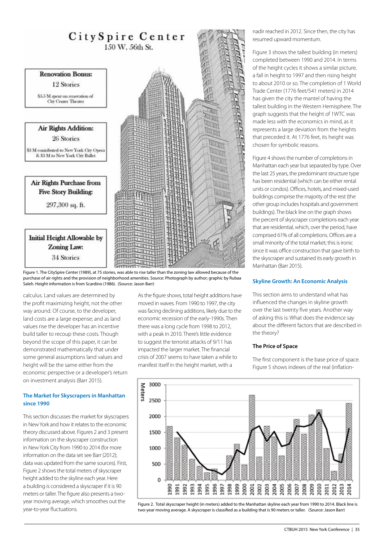

Figure 1. The CitySpire Center (1989), at 75 stories, was able to rise taller than the zoning law allowed because of the purchase of air rights and the provision of neighborhood amenities. Source: Photograph by author; graphic by Rubaa Saleh. Height information is from Scardino (1986). (Source: Jason Barr)

calculus. Land values are determined by the profit maximizing height, not the other way around. Of course, to the developer, land costs are a large expense; and as land values rise the developer has an incentive build taller to recoup these costs. Though beyond the scope of this paper, it can be demonstrated mathematically that under some general assumptions land values and height will be the same either from the economic perspective or a developer's return on investment analysis (Barr 2015).

## **The Market for Skyscrapers in Manhattan since 1990**

This section discusses the market for skyscrapers in New York and how it relates to the economic theory discussed above. Figures 2 and 3 present information on the skyscraper construction in New York City from 1990 to 2014 (for more information on the data set see Barr (2012); data was updated from the same sources). First, Figure 2 shows the total meters of skyscraper height added to the skyline each year. Here a building is considered a skyscraper if it is 90 meters or taller. The figure also presents a twoyear moving average, which smoothes out the year-to-year fluctuations.

As the figure shows, total height additions have moved in waves. From 1990 to 1997, the city was facing declining additions, likely due to the economic recession of the early-1990s. Then there was a long cycle from 1998 to 2012, with a peak in 2010. There's little evidence to suggest the terrorist attacks of 9/11 has impacted the larger market. The financial crisis of 2007 seems to have taken a while to manifest itself in the height market, with a

nadir reached in 2012. Since then, the city has resumed upward momentum.

Figure 3 shows the tallest building (in meters) completed between 1990 and 2014. In terms of the height cycles it shows a similar picture, a fall in height to 1997 and then rising height to about 2010 or so. The completion of 1 World Trade Center (1776 feet/541 meters) in 2014 has given the city the mantel of having the tallest building in the Western Hemisphere. The graph suggests that the height of 1WTC was made less with the economics in mind, as it represents a large deviation from the heights that preceded it. At 1776 feet, its height was chosen for symbolic reasons.

Figure 4 shows the number of completions in Manhattan each year but separated by type. Over the last 25 years, the predominant structure type has been residential (which can be either rental units or condos). Offices, hotels, and mixed-used buildings comprise the majority of the rest (the other group includes hospitals and government buildings). The black line on the graph shows the percent of skyscraper completions each year that are residential, which, over the period, have comprised 61% of all completions. Offices are a small minority of the total market; this is ironic since it was office construction that gave birth to the skyscraper and sustained its early growth in Manhattan (Barr 2015).

# **Skyline Growth: An Economic Analysis**

This section aims to understand what has influenced the changes in skyline growth over the last twenty five years. Another way of asking this is: What does the evidence say about the different factors that are described in the theory?

#### **The Price of Space**

The first component is the base price of space. Figure 5 shows indexes of the real (inflation-



Figure 2. Total skyscraper height (in meters) added to the Manhattan skyline each year from 1990 to 2014. Black line is two-year moving average. A skyscraper is classified as a building that is 90 meters or taller. (Source: Jason Barr)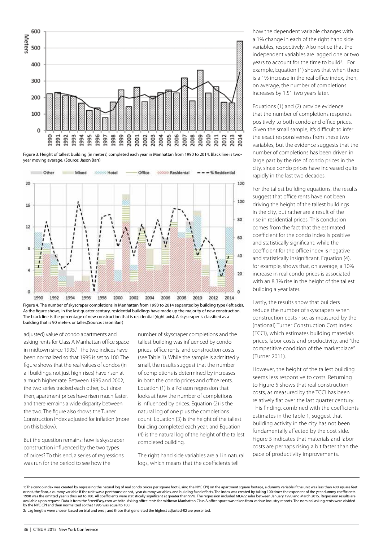

Figure 3. Height of tallest building (in meters) completed each year in Manhattan from 1990 to 2014. Black line is twoyear moving average. (Source: Jason Barr)



Figure 4. The number of skyscraper completions in Manhattan from 1990 to 2014 separated by building type (left axis). As the figure shows, in the last quarter century, residential buildings have made up the majority of new construction. The black line is the percentage of new construction that is residential (right axis). A skyscraper is classified as a building that is 90 meters or taller.(Source: Jason Barr)

adjusted) value of condo apartments and asking rents for Class A Manhattan office space in midtown since 1995.<sup>1</sup> The two indices have been normalized so that 1995 is set to 100. The figure shows that the real values of condos (in all buildings, not just high-rises) have risen at a much higher rate. Between 1995 and 2002, the two series tracked each other, but since then, apartment prices have risen much faster, and there remains a wide disparity between the two. The figure also shows the Turner Construction Index adjusted for inflation (more on this below).

But the question remains: how is skyscraper construction influenced by the two types of prices? To this end, a series of regressions was run for the period to see how the

number of skyscraper completions and the tallest building was influenced by condo prices, office rents, and construction costs (see Table 1). While the sample is admittedly small, the results suggest that the number of completions is determined by increases in both the condo prices and office rents. Equation (1) is a Poisson regression that looks at how the number of completions is influenced by prices. Equation (2) is the natural log of one plus the completions count. Equation (3) is the height of the tallest building completed each year; and Equation (4) is the natural log of the height of the tallest completed building.

The right hand side variables are all in natural logs, which means that the coefficients tell

how the dependent variable changes with a 1% change in each of the right hand side variables, respectively. Also notice that the independent variables are lagged one or two years to account for the time to build<sup>2</sup>. For example, Equation (1) shows that when there is a 1% increase in the real office index, then, on average, the number of completions increases by 1.51 two years later.

Equations (1) and (2) provide evidence that the number of completions responds positively to both condo and office prices. Given the small sample, it's difficult to infer the exact responsiveness from these two variables, but the evidence suggests that the number of completions has been driven in large part by the rise of condo prices in the city, since condo prices have increased quite rapidly in the last two decades.

For the tallest building equations, the results suggest that office rents have not been driving the height of the tallest buildings in the city, but rather are a result of the rise in residential prices. This conclusion comes from the fact that the estimated coefficient for the condo index is positive and statistically significant; while the coefficient for the office index is negative and statistically insignificant. Equation (4), for example, shows that, on average, a 10% increase in real condo prices is associated with an 8.3% rise in the height of the tallest building a year later.

Lastly, the results show that builders reduce the number of skyscrapers when construction costs rise, as measured by the (national) Turner Construction Cost Index (TCCI), which estimates building materials prices, labor costs and productivity, and "the competitive condition of the marketplace" (Turner 2011).

However, the height of the tallest building seems less responsive to costs. Returning to Figure 5 shows that real construction costs, as measured by the TCCI has been relatively flat over the last quarter century. This finding, combined with the coefficients estimates in the Table 1, suggest that building activity in the city has not been fundamentally affected by the cost side. Figure 5 indicates that materials and labor costs are perhaps rising a bit faster than the pace of productivity improvements.

<sup>1:</sup> The condo index was created by regressing the natural log of real condo prices per square foot (using the NYC CPI) on the apartment square footage, a dummy variable if the unit was less than 400 square feet or not, the floor, a dummy variable if the unit was a penthouse or not, year dummy variables, and building fixed effects. The index was created by taking 100 times the exponent of the year dummy coefficients.<br>1990 was the available upon request. Data is from the StreetEasy.com website. Asking office rents for midtown Manhattan Class A office space was taken from various industry reports. The nominal asking rents were divided by the NYC CPI and then normalized so that 1995 was equal to 100.

<sup>2:</sup> Lag lengths were chosen based on trial and error, and those that generated the highest adjusted-R2 are presented.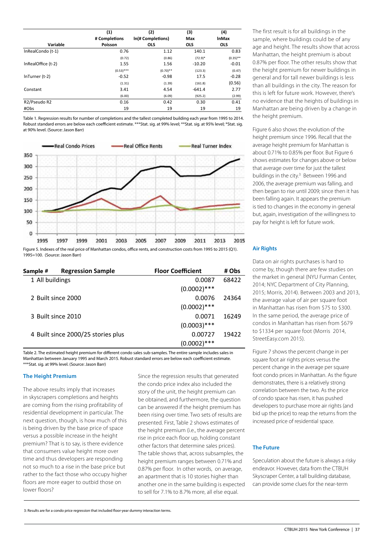|                    | (1)           | (2)               | (3)        | (4)          |
|--------------------|---------------|-------------------|------------|--------------|
|                    | # Completions | In(# Completions) | Max        | <b>InMax</b> |
| Variable           | Poisson       | <b>OLS</b>        | <b>OLS</b> | <b>OLS</b>   |
| InRealCondo (t-1)  | 0.76          | 1.12              | 140.1      | 0.83         |
|                    | (0.72)        | (0.86)            | $(72.9)^*$ | $(0.35)$ **  |
| InRealOffice (t-2) | 1.55          | 1.56              | $-10.20$   | $-0.01$      |
|                    | $(0.53)$ ***  | $(0.70)$ **       | (123.3)    | (0.47)       |
| $InTurner(t-2)$    | $-0.52$       | $-0.98$           | 17.5       | $-0.28$      |
|                    | (1.31)        | (1.39)            | (161.8)    | (0.56)       |
| Constant           | 3.41          | 4.54              | $-641.4$   | 2.77         |
|                    | (6.00)        | (6.09)            | (925.2)    | (2.99)       |
| R2/Pseudo R2       | 0.16          | 0.42              | 0.30       | 0.41         |
| #Obs               | 19            | 19                | 19         | 19           |

Table 1. Regression results for number of completions and the tallest completed building each year from 1995 to 2014. Robust standard errors are below each coefficient estimate. \*\*\*Stat. sig. at 99% level; \*\*Stat. sig. at 95% level; \*Stat. sig. at 90% level. (Source: Jason Barr)



Figure 5. Indexes of the real price of Manhattan condos, office rents, and construction costs from 1995 to 2015 (Q1). 1995=100. (Source: Jason Barr)

| Sample #        | <b>Regression Sample</b>           | <b>Floor Coefficient</b> | # Obs |
|-----------------|------------------------------------|--------------------------|-------|
| 1 All buildings |                                    | 0.0087                   | 68422 |
|                 |                                    | $(0.0002)$ ***           |       |
|                 | 2 Built since 2000                 | 0.0076                   | 24364 |
|                 |                                    | $(0.0002)$ ***           |       |
|                 | 3 Built since 2010                 | 0.0071                   | 16249 |
|                 |                                    | $(0.0003)$ ***           |       |
|                 | 4 Built since 2000/25 stories plus | 0.00727                  | 19422 |
|                 |                                    | $(0.0002)$ ***           |       |

Table 2. The estimated height premium for different condo sales sub-samples. The entire sample includes sales in Manhattan between January 1995 and March 2015. Robust standard errors are below each coefficient estimate. \*\*\*Stat. sig. at 99% level. (Source: Jason Barr)

#### **The Height Premium**

The above results imply that increases in skyscrapers completions and heights are coming from the rising profitability of residential development in particular. The next question, though, is how much of this is being driven by the base price of space versus a possible increase in the height premium? That is to say, is there evidence that consumers value height more over time and thus developers are responding not so much to a rise in the base price but rather to the fact those who occupy higher floors are more eager to outbid those on lower floors?

Since the regression results that generated the condo price index also included the story of the unit, the height premium can be obtained, and furthermore, the question can be answered if the height premium has been rising over time. Two sets of results are presented. First, Table 2 shows estimates of the height premium (i.e., the average percent rise in price each floor up, holding constant other factors that determine sales prices). The table shows that, across subsamples, the height premium ranges between 0.71% and 0.87% per floor. In other words, on average, an apartment that is 10 stories higher than another one in the same building is expected to sell for 7.1% to 8.7% more, all else equal.

The first result is for all buildings in the sample, where buildings could be of any age and height. The results show that across Manhattan, the height premium is about 0.87% per floor. The other results show that the height premium for newer buildings in general and for tall newer buildings is less than all buildings in the city. The reason for this is left for future work. However, there's no evidence that the heights of buildings in Manhattan are being driven by a change in the height premium.

Figure 6 also shows the evolution of the height premium since 1996. Recall that the average height premium for Manhattan is about 0.71% to 0.85% per floor. But Figure 6 shows estimates for changes above or below that average over time for just the tallest buildings in the city.<sup>3</sup> Between 1996 and 2006, the average premium was falling, and then began to rise until 2009; since then it has been falling again. It appears the premium is tied to changes in the economy in general but, again, investigation of the willingness to pay for height is left for future work.

#### **Air Rights**

Data on air rights purchases is hard to come by, though there are few studies on the market in general (NYU Furman Center, 2014; NYC Department of City Planning, 2015; Morris, 2014). Between 2003 and 2013, the average value of air per square foot in Manhattan has risen from \$75 to \$300. In the same period, the average price of condos in Manhattan has risen from \$679 to \$1334 per square foot (Morris 2014, StreetEasy.com 2015).

Figure 7 shows the percent change in per square foot air rights prices versus the percent change in the average per square foot condo prices in Manhattan. As the figure demonstrates, there is a relatively strong correlation between the two. As the price of condo space has risen, it has pushed developers to purchase more air rights (and bid up the price) to reap the returns from the increased price of residential space.

#### **The Future**

Speculation about the future is always a risky endeavor. However, data from the CTBUH Skyscraper Center, a tall building database, can provide some clues for the near-term

3: Results are for a condo price regression that included floor-year dummy interaction terms.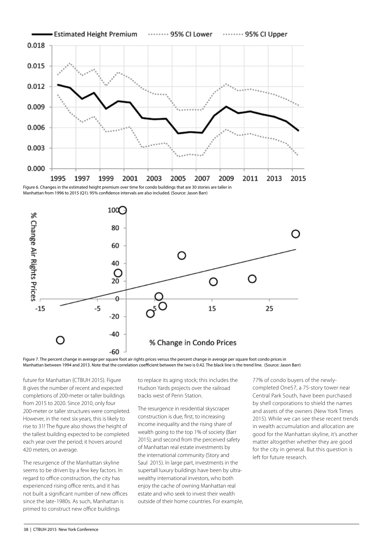

Figure 6. Changes in the estimated height premium over time for condo buildings that are 30 stories are taller in Manhattan from 1996 to 2015 (Q1). 95% confidence intervals are also included. (Source: Jason Barr)



Figure 7. The percent change in average per square foot air rights prices versus the percent change in average per square foot condo prices in Manhattan between 1994 and 2013. Note that the correlation coefficient between the two is 0.42. The black line is the trend line. (Source: Jason Barr)

future for Manhattan (CTBUH 2015). Figure 8 gives the number of recent and expected completions of 200-meter or taller buildings from 2015 to 2020. Since 2010, only four 200-meter or taller structures were completed. However, in the next six years, this is likely to rise to 31! The figure also shows the height of the tallest building expected to be completed each year over the period; it hovers around 420 meters, on average.

The resurgence of the Manhattan skyline seems to be driven by a few key factors. In regard to office construction, the city has experienced rising office rents, and it has not built a significant number of new offices since the late-1980s. As such, Manhattan is primed to construct new office buildings

to replace its aging stock; this includes the Hudson Yards projects over the railroad tracks west of Penn Station.

The resurgence in residential skyscraper construction is due, first, to increasing income inequality and the rising share of wealth going to the top 1% of society (Barr 2015); and second from the perceived safety of Manhattan real estate investments by the international community (Story and Saul 2015). In large part, investments in the supertall luxury buildings have been by ultrawealthy international investors, who both enjoy the cache of owning Manhattan real estate and who seek to invest their wealth outside of their home countries. For example,

77% of condo buyers of the newlycompleted One57, a 75-story tower near Central Park South, have been purchased by shell corporations to shield the names and assets of the owners (New York Times 2015). While we can see these recent trends in wealth accumulation and allocation are good for the Manhattan skyline, it's another matter altogether whether they are good for the city in general. But this question is left for future research.